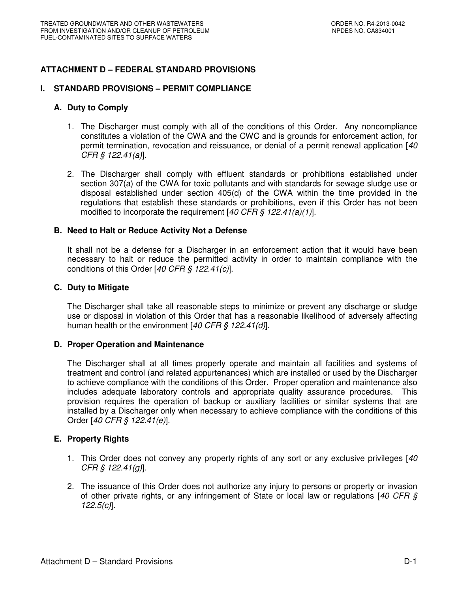# **ATTACHMENT D – FEDERAL STANDARD PROVISIONS**

### **I. STANDARD PROVISIONS – PERMIT COMPLIANCE**

### **A. Duty to Comply**

- 1. The Discharger must comply with all of the conditions of this Order. Any noncompliance constitutes a violation of the CWA and the CWC and is grounds for enforcement action, for permit termination, revocation and reissuance, or denial of a permit renewal application [40 CFR § 122.41(a)].
- 2. The Discharger shall comply with effluent standards or prohibitions established under section 307(a) of the CWA for toxic pollutants and with standards for sewage sludge use or disposal established under section 405(d) of the CWA within the time provided in the regulations that establish these standards or prohibitions, even if this Order has not been modified to incorporate the requirement  $[40 \text{ CFR } \frac{2}{9} \frac{122.41(a)(1)}{1}].$

### **B. Need to Halt or Reduce Activity Not a Defense**

It shall not be a defense for a Discharger in an enforcement action that it would have been necessary to halt or reduce the permitted activity in order to maintain compliance with the conditions of this Order  $[40 \text{ CFR } \text{\textless} 122.41(c)].$ 

### **C. Duty to Mitigate**

The Discharger shall take all reasonable steps to minimize or prevent any discharge or sludge use or disposal in violation of this Order that has a reasonable likelihood of adversely affecting human health or the environment [40 CFR § 122.41(d)].

### **D. Proper Operation and Maintenance**

The Discharger shall at all times properly operate and maintain all facilities and systems of treatment and control (and related appurtenances) which are installed or used by the Discharger to achieve compliance with the conditions of this Order. Proper operation and maintenance also includes adequate laboratory controls and appropriate quality assurance procedures. This provision requires the operation of backup or auxiliary facilities or similar systems that are installed by a Discharger only when necessary to achieve compliance with the conditions of this Order [40 CFR § 122.41(e)].

## **E. Property Rights**

- 1. This Order does not convey any property rights of any sort or any exclusive privileges [40] CFR § 122.41(g)].
- 2. The issuance of this Order does not authorize any injury to persons or property or invasion of other private rights, or any infringement of State or local law or regulations [40 CFR § 122.5(c)].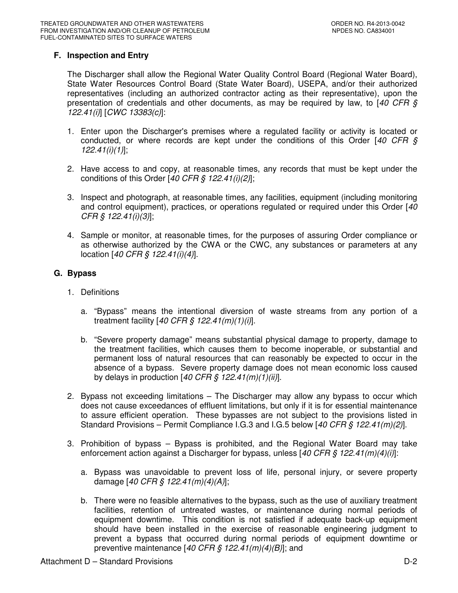# **F. Inspection and Entry**

The Discharger shall allow the Regional Water Quality Control Board (Regional Water Board), State Water Resources Control Board (State Water Board), USEPA, and/or their authorized representatives (including an authorized contractor acting as their representative), upon the presentation of credentials and other documents, as may be required by law, to  $[40 \text{ CFR } \text{S}]$ 122.41(i)] [CWC 13383(c)]:

- 1. Enter upon the Discharger's premises where a regulated facility or activity is located or conducted, or where records are kept under the conditions of this Order  $[40 \text{ CFR } \text{S}]$ 122.41(i)(1)];
- 2. Have access to and copy, at reasonable times, any records that must be kept under the conditions of this Order  $[40 \text{ CFR}$  \$  $122.41(i)(2)]$ ;
- 3. Inspect and photograph, at reasonable times, any facilities, equipment (including monitoring and control equipment), practices, or operations regulated or required under this Order [40] CFR § 122.41(i)(3)];
- 4. Sample or monitor, at reasonable times, for the purposes of assuring Order compliance or as otherwise authorized by the CWA or the CWC, any substances or parameters at any location [40 CFR § 122.41(i)(4)].

# **G. Bypass**

- 1. Definitions
	- a. "Bypass" means the intentional diversion of waste streams from any portion of a treatment facility  $[40 \text{ CFR } \frac{6}{5} \frac{122.41(m)}{1)}$ .
	- b. "Severe property damage" means substantial physical damage to property, damage to the treatment facilities, which causes them to become inoperable, or substantial and permanent loss of natural resources that can reasonably be expected to occur in the absence of a bypass. Severe property damage does not mean economic loss caused by delays in production  $[40 \text{ CFR} \text{ } \text{\textit{S}} \text{ } 122.41 \text{ } (m)(1)(ii)].$
- 2. Bypass not exceeding limitations The Discharger may allow any bypass to occur which does not cause exceedances of effluent limitations, but only if it is for essential maintenance to assure efficient operation. These bypasses are not subject to the provisions listed in Standard Provisions – Permit Compliance I.G.3 and I.G.5 below  $[40 \text{ CFR } $122.41 \text{m}$  $/2]$ .
- 3. Prohibition of bypass Bypass is prohibited, and the Regional Water Board may take enforcement action against a Discharger for bypass, unless  $[40 CFR \frac{S}{S} 122.41(m)(4)(i)]$ :
	- a. Bypass was unavoidable to prevent loss of life, personal injury, or severe property damage [40 CFR § 122.41(m)(4)(A)];
	- b. There were no feasible alternatives to the bypass, such as the use of auxiliary treatment facilities, retention of untreated wastes, or maintenance during normal periods of equipment downtime. This condition is not satisfied if adequate back-up equipment should have been installed in the exercise of reasonable engineering judgment to prevent a bypass that occurred during normal periods of equipment downtime or preventive maintenance  $[40 \text{ CFR} \text{ } \text{\textless} 122.41 \text{ } (m)(4)(B)]$ ; and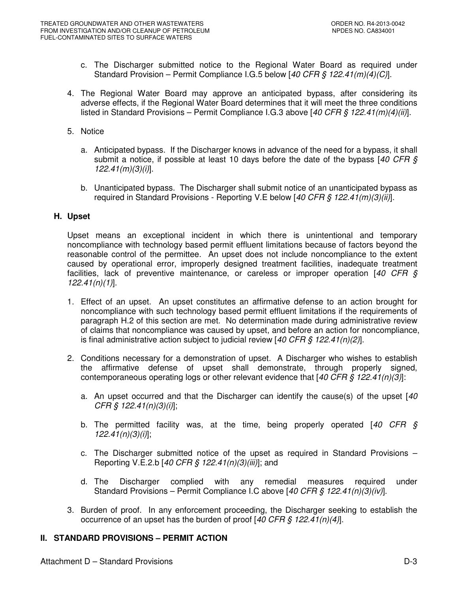- c. The Discharger submitted notice to the Regional Water Board as required under Standard Provision – Permit Compliance I.G.5 below  $[40 \text{ CFR } \frac{6}{5} \frac{122.41}{m}{4C}.]$
- 4. The Regional Water Board may approve an anticipated bypass, after considering its adverse effects, if the Regional Water Board determines that it will meet the three conditions listed in Standard Provisions – Permit Compliance I.G.3 above [40 CFR § 122.41(m)(4)(ii)].
- 5. Notice
	- a. Anticipated bypass. If the Discharger knows in advance of the need for a bypass, it shall submit a notice, if possible at least 10 days before the date of the bypass  $[40 CFR \text{ s}]$  $122.41(m)(3)(i)$ ].
	- b. Unanticipated bypass. The Discharger shall submit notice of an unanticipated bypass as required in Standard Provisions - Reporting V.E below [40 CFR § 122.41(m)(3)(ii)].

## **H. Upset**

Upset means an exceptional incident in which there is unintentional and temporary noncompliance with technology based permit effluent limitations because of factors beyond the reasonable control of the permittee. An upset does not include noncompliance to the extent caused by operational error, improperly designed treatment facilities, inadequate treatment facilities, lack of preventive maintenance, or careless or improper operation  $[40 \text{ CFR} \text{ s}]$  $122.41(n)(1)$ ].

- 1. Effect of an upset. An upset constitutes an affirmative defense to an action brought for noncompliance with such technology based permit effluent limitations if the requirements of paragraph H.2 of this section are met. No determination made during administrative review of claims that noncompliance was caused by upset, and before an action for noncompliance, is final administrative action subject to judicial review  $[40 CFR \nS 122.41(n)(2)]$ .
- 2. Conditions necessary for a demonstration of upset. A Discharger who wishes to establish the affirmative defense of upset shall demonstrate, through properly signed, contemporaneous operating logs or other relevant evidence that  $[40 CFR \, \xi \, 122.41(n)(3)]$ :
	- a. An upset occurred and that the Discharger can identify the cause(s) of the upset  $[40]$ CFR  $\S$  122.41(n)(3)(i)];
	- b. The permitted facility was, at the time, being properly operated  $[40 \text{ CFR} \text{ s}]$  $122.41(n)(3)(i)$
	- c. The Discharger submitted notice of the upset as required in Standard Provisions Reporting V.E.2.b [40 CFR § 122.41(n)(3)(iii)]; and
	- d. The Discharger complied with any remedial measures required under Standard Provisions – Permit Compliance I.C above [40 CFR § 122.41(n)(3)(iv)].
- 3. Burden of proof. In any enforcement proceeding, the Discharger seeking to establish the occurrence of an upset has the burden of proof  $[40 \text{ CFR} \text{ } \text{\textless} 122.41(n)(4)].$

# **II. STANDARD PROVISIONS – PERMIT ACTION**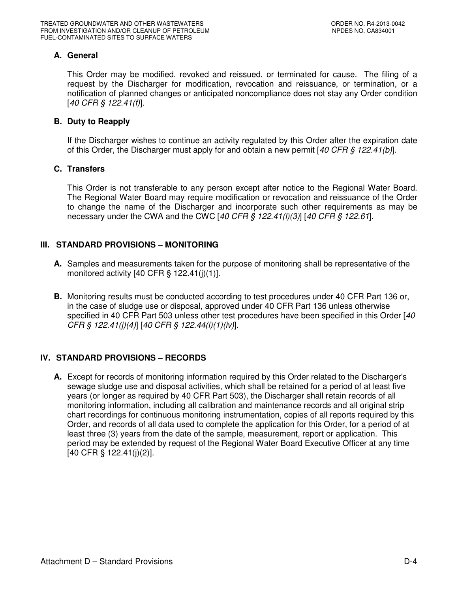# **A. General**

This Order may be modified, revoked and reissued, or terminated for cause. The filing of a request by the Discharger for modification, revocation and reissuance, or termination, or a notification of planned changes or anticipated noncompliance does not stay any Order condition [40 CFR § 122.41(f)].

## **B. Duty to Reapply**

If the Discharger wishes to continue an activity regulated by this Order after the expiration date of this Order, the Discharger must apply for and obtain a new permit  $[40 CFR \t{S} 122.41(b)].$ 

## **C. Transfers**

This Order is not transferable to any person except after notice to the Regional Water Board. The Regional Water Board may require modification or revocation and reissuance of the Order to change the name of the Discharger and incorporate such other requirements as may be necessary under the CWA and the CWC [40 CFR  $\hat{S}$  122.41(l)(3)] [40 CFR  $\hat{S}$  122.61].

## **III. STANDARD PROVISIONS – MONITORING**

- **A.** Samples and measurements taken for the purpose of monitoring shall be representative of the monitored activity  $[40 \text{ CFR } \S 122.41(j)(1)].$
- **B.** Monitoring results must be conducted according to test procedures under 40 CFR Part 136 or, in the case of sludge use or disposal, approved under 40 CFR Part 136 unless otherwise specified in 40 CFR Part 503 unless other test procedures have been specified in this Order [40] CFR § 122.41(j)(4)] [40 CFR § 122.44(i)(1)(iv)].

# **IV. STANDARD PROVISIONS – RECORDS**

**A.** Except for records of monitoring information required by this Order related to the Discharger's sewage sludge use and disposal activities, which shall be retained for a period of at least five years (or longer as required by 40 CFR Part 503), the Discharger shall retain records of all monitoring information, including all calibration and maintenance records and all original strip chart recordings for continuous monitoring instrumentation, copies of all reports required by this Order, and records of all data used to complete the application for this Order, for a period of at least three (3) years from the date of the sample, measurement, report or application. This period may be extended by request of the Regional Water Board Executive Officer at any time [40 CFR § 122.41(j)(2)].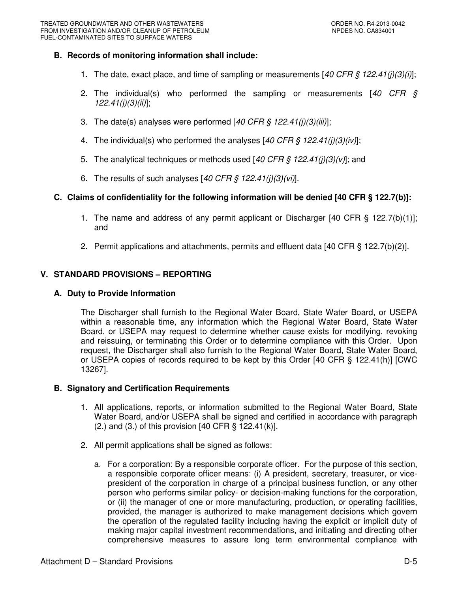## **B. Records of monitoring information shall include:**

- 1. The date, exact place, and time of sampling or measurements  $[40 CFR \frac{S}{S} 122.41(j)(3)(i)]$ ;
- 2. The individual(s) who performed the sampling or measurements  $[40 \text{ CFR } \S$  $122.41(j)(3)(ii)$ ;
- 3. The date(s) analyses were performed  $[40 \text{ CFR} \text{ } \text{\textit{S}} \text{ } 122.41 \text{ } \text{ } (i)(3)(iii)];$
- 4. The individual(s) who performed the analyses [40 CFR § 122.41(j)(3)(iv)];
- 5. The analytical techniques or methods used  $[40 \text{ CFR} \text{S} 122.41 \text{E} \text{I}](3) \text{V}$ ; and
- 6. The results of such analyses  $[40 \text{ CFR} \text{ } \text{\$ } 122.41(j)(3)(vi)].$

## **C. Claims of confidentiality for the following information will be denied [40 CFR § 122.7(b)]:**

- 1. The name and address of any permit applicant or Discharger [40 CFR § 122.7(b)(1)]; and
- 2. Permit applications and attachments, permits and effluent data [40 CFR § 122.7(b)(2)].

# **V. STANDARD PROVISIONS – REPORTING**

## **A. Duty to Provide Information**

The Discharger shall furnish to the Regional Water Board, State Water Board, or USEPA within a reasonable time, any information which the Regional Water Board, State Water Board, or USEPA may request to determine whether cause exists for modifying, revoking and reissuing, or terminating this Order or to determine compliance with this Order. Upon request, the Discharger shall also furnish to the Regional Water Board, State Water Board, or USEPA copies of records required to be kept by this Order [40 CFR § 122.41(h)] [CWC 13267].

## **B. Signatory and Certification Requirements**

- 1. All applications, reports, or information submitted to the Regional Water Board, State Water Board, and/or USEPA shall be signed and certified in accordance with paragraph  $(2.)$  and  $(3.)$  of this provision  $[40 \text{ CFR }$  § 122.41 $(k)$ ].
- 2. All permit applications shall be signed as follows:
	- a. For a corporation: By a responsible corporate officer. For the purpose of this section, a responsible corporate officer means: (i) A president, secretary, treasurer, or vicepresident of the corporation in charge of a principal business function, or any other person who performs similar policy- or decision-making functions for the corporation, or (ii) the manager of one or more manufacturing, production, or operating facilities, provided, the manager is authorized to make management decisions which govern the operation of the regulated facility including having the explicit or implicit duty of making major capital investment recommendations, and initiating and directing other comprehensive measures to assure long term environmental compliance with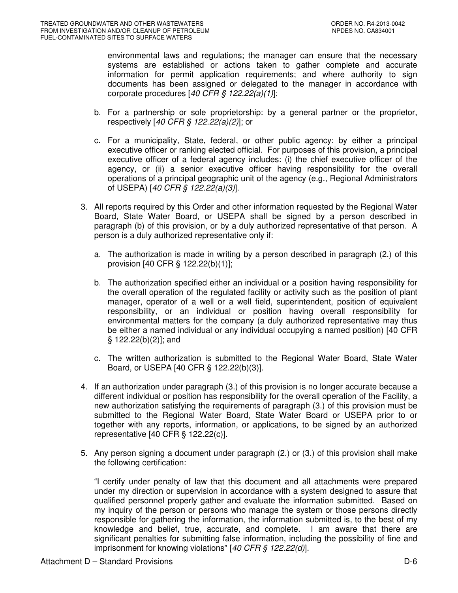environmental laws and regulations; the manager can ensure that the necessary systems are established or actions taken to gather complete and accurate information for permit application requirements; and where authority to sign documents has been assigned or delegated to the manager in accordance with corporate procedures  $[40 \text{ CFR}$  §  $122.22(a)(1)]$ ;

- b. For a partnership or sole proprietorship: by a general partner or the proprietor, respectively [40 CFR § 122.22(a)(2)]; or
- c. For a municipality, State, federal, or other public agency: by either a principal executive officer or ranking elected official. For purposes of this provision, a principal executive officer of a federal agency includes: (i) the chief executive officer of the agency, or (ii) a senior executive officer having responsibility for the overall operations of a principal geographic unit of the agency (e.g., Regional Administrators of USEPA) [40 CFR § 122.22(a)(3)].
- 3. All reports required by this Order and other information requested by the Regional Water Board, State Water Board, or USEPA shall be signed by a person described in paragraph (b) of this provision, or by a duly authorized representative of that person. A person is a duly authorized representative only if:
	- a. The authorization is made in writing by a person described in paragraph (2.) of this provision [40 CFR § 122.22(b)(1)];
	- b. The authorization specified either an individual or a position having responsibility for the overall operation of the regulated facility or activity such as the position of plant manager, operator of a well or a well field, superintendent, position of equivalent responsibility, or an individual or position having overall responsibility for environmental matters for the company (a duly authorized representative may thus be either a named individual or any individual occupying a named position) [40 CFR § 122.22(b)(2)]; and
	- c. The written authorization is submitted to the Regional Water Board, State Water Board, or USEPA [40 CFR § 122.22(b)(3)].
- 4. If an authorization under paragraph (3.) of this provision is no longer accurate because a different individual or position has responsibility for the overall operation of the Facility, a new authorization satisfying the requirements of paragraph (3.) of this provision must be submitted to the Regional Water Board, State Water Board or USEPA prior to or together with any reports, information, or applications, to be signed by an authorized representative [40 CFR § 122.22(c)].
- 5. Any person signing a document under paragraph (2.) or (3.) of this provision shall make the following certification:

"I certify under penalty of law that this document and all attachments were prepared under my direction or supervision in accordance with a system designed to assure that qualified personnel properly gather and evaluate the information submitted. Based on my inquiry of the person or persons who manage the system or those persons directly responsible for gathering the information, the information submitted is, to the best of my knowledge and belief, true, accurate, and complete. I am aware that there are significant penalties for submitting false information, including the possibility of fine and imprisonment for knowing violations"  $[40 \text{ CFR} \text{ } \text{\textless} 122.22 \text{ } \text{ } d)]$ .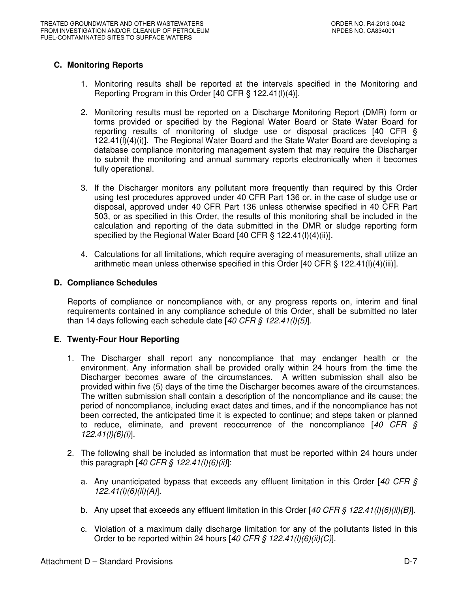# **C. Monitoring Reports**

- 1. Monitoring results shall be reported at the intervals specified in the Monitoring and Reporting Program in this Order [40 CFR § 122.41(l)(4)].
- 2. Monitoring results must be reported on a Discharge Monitoring Report (DMR) form or forms provided or specified by the Regional Water Board or State Water Board for reporting results of monitoring of sludge use or disposal practices [40 CFR § 122.41(l)(4)(i)]. The Regional Water Board and the State Water Board are developing a database compliance monitoring management system that may require the Discharger to submit the monitoring and annual summary reports electronically when it becomes fully operational.
- 3. If the Discharger monitors any pollutant more frequently than required by this Order using test procedures approved under 40 CFR Part 136 or, in the case of sludge use or disposal, approved under 40 CFR Part 136 unless otherwise specified in 40 CFR Part 503, or as specified in this Order, the results of this monitoring shall be included in the calculation and reporting of the data submitted in the DMR or sludge reporting form specified by the Regional Water Board [40 CFR § 122.41(l)(4)(ii)].
- 4. Calculations for all limitations, which require averaging of measurements, shall utilize an arithmetic mean unless otherwise specified in this Order [40 CFR § 122.41(I)(4)(iii)].

## **D. Compliance Schedules**

Reports of compliance or noncompliance with, or any progress reports on, interim and final requirements contained in any compliance schedule of this Order, shall be submitted no later than 14 days following each schedule date  $[40 CFR \S 122.41(l)(5)].$ 

# **E. Twenty-Four Hour Reporting**

- 1. The Discharger shall report any noncompliance that may endanger health or the environment. Any information shall be provided orally within 24 hours from the time the Discharger becomes aware of the circumstances. A written submission shall also be provided within five (5) days of the time the Discharger becomes aware of the circumstances. The written submission shall contain a description of the noncompliance and its cause; the period of noncompliance, including exact dates and times, and if the noncompliance has not been corrected, the anticipated time it is expected to continue; and steps taken or planned to reduce, eliminate, and prevent reoccurrence of the noncompliance  $[40 \text{ CFR } \text{S}$ 122.41(l)(6)(i)].
- 2. The following shall be included as information that must be reported within 24 hours under this paragraph  $[40 \text{ CFR} \, \text{\textsterling} \, 122.41 \, \text{(I)} \, \text{(6)} \, \text{(ii)}]$ :
	- a. Any unanticipated bypass that exceeds any effluent limitation in this Order [40 CFR  $\zeta$ 122.41(l)(6)(ii)(A)].
	- b. Any upset that exceeds any effluent limitation in this Order [40 CFR § 122.41(l)(6)(ii)(B)].
	- c. Violation of a maximum daily discharge limitation for any of the pollutants listed in this Order to be reported within 24 hours  $[40 \text{ CFR}$  \$  $122.41(I)(6)(ii)(C)].$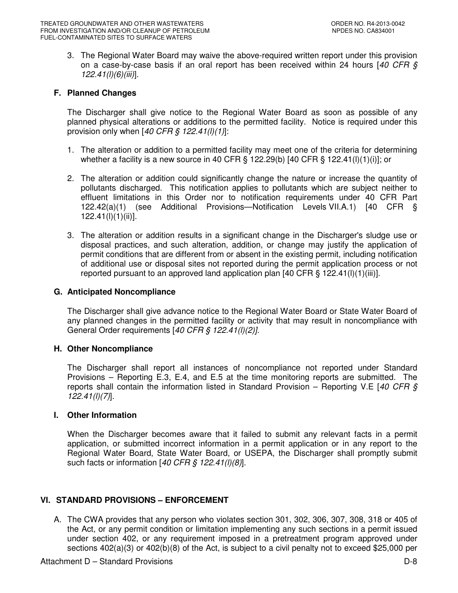3. The Regional Water Board may waive the above-required written report under this provision on a case-by-case basis if an oral report has been received within 24 hours  $[40 \text{ CFR } \text{S}]$  $122.41(l)(6)(iii)$ ].

### **F. Planned Changes**

The Discharger shall give notice to the Regional Water Board as soon as possible of any planned physical alterations or additions to the permitted facility. Notice is required under this provision only when  $[40 \text{ CFR } \frac{6}{9} \frac{122.41(l)(1)}{l}$ :

- 1. The alteration or addition to a permitted facility may meet one of the criteria for determining whether a facility is a new source in 40 CFR  $\S$  122.29(b) [40 CFR  $\S$  122.41(l)(1)(i)]; or
- 2. The alteration or addition could significantly change the nature or increase the quantity of pollutants discharged. This notification applies to pollutants which are subject neither to effluent limitations in this Order nor to notification requirements under 40 CFR Part 122.42(a)(1) (see Additional Provisions—Notification Levels VII.A.1) [40 CFR § 122.41(l)(1)(ii)].
- 3. The alteration or addition results in a significant change in the Discharger's sludge use or disposal practices, and such alteration, addition, or change may justify the application of permit conditions that are different from or absent in the existing permit, including notification of additional use or disposal sites not reported during the permit application process or not reported pursuant to an approved land application plan [40 CFR § 122.41(l)(1)(iii)].

#### **G. Anticipated Noncompliance**

The Discharger shall give advance notice to the Regional Water Board or State Water Board of any planned changes in the permitted facility or activity that may result in noncompliance with General Order requirements [40 CFR § 122.41(l)(2)].

### **H. Other Noncompliance**

The Discharger shall report all instances of noncompliance not reported under Standard Provisions – Reporting E.3, E.4, and E.5 at the time monitoring reports are submitted. The reports shall contain the information listed in Standard Provision – Reporting V.E [40 CFR  $\hat{S}$ 122.41(l)(7)].

### **I. Other Information**

When the Discharger becomes aware that it failed to submit any relevant facts in a permit application, or submitted incorrect information in a permit application or in any report to the Regional Water Board, State Water Board, or USEPA, the Discharger shall promptly submit such facts or information  $[40 \text{ CFR } \frac{6}{9} \frac{122.41(l)(8)}{l}].$ 

### **VI. STANDARD PROVISIONS – ENFORCEMENT**

A. The CWA provides that any person who violates section 301, 302, 306, 307, 308, 318 or 405 of the Act, or any permit condition or limitation implementing any such sections in a permit issued under section 402, or any requirement imposed in a pretreatment program approved under sections  $402(a)(3)$  or  $402(b)(8)$  of the Act, is subject to a civil penalty not to exceed \$25,000 per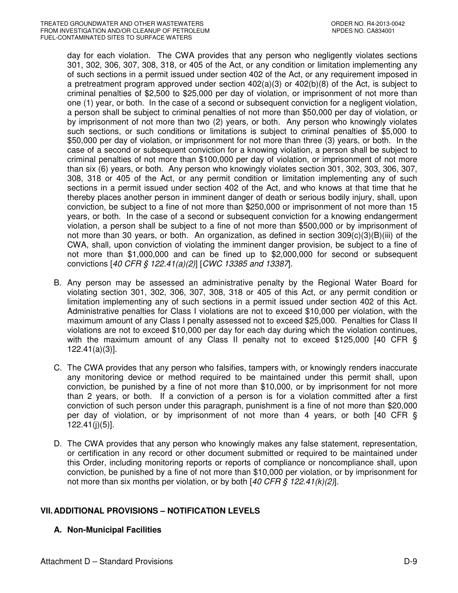day for each violation. The CWA provides that any person who negligently violates sections 301, 302, 306, 307, 308, 318, or 405 of the Act, or any condition or limitation implementing any of such sections in a permit issued under section 402 of the Act, or any requirement imposed in a pretreatment program approved under section 402(a)(3) or 402(b)(8) of the Act, is subject to criminal penalties of \$2,500 to \$25,000 per day of violation, or imprisonment of not more than one (1) year, or both. In the case of a second or subsequent conviction for a negligent violation, a person shall be subject to criminal penalties of not more than \$50,000 per day of violation, or by imprisonment of not more than two (2) years, or both. Any person who knowingly violates such sections, or such conditions or limitations is subject to criminal penalties of \$5,000 to \$50,000 per day of violation, or imprisonment for not more than three (3) years, or both. In the case of a second or subsequent conviction for a knowing violation, a person shall be subject to criminal penalties of not more than \$100,000 per day of violation, or imprisonment of not more than six (6) years, or both. Any person who knowingly violates section 301, 302, 303, 306, 307, 308, 318 or 405 of the Act, or any permit condition or limitation implementing any of such sections in a permit issued under section 402 of the Act, and who knows at that time that he thereby places another person in imminent danger of death or serious bodily injury, shall, upon conviction, be subject to a fine of not more than \$250,000 or imprisonment of not more than 15 years, or both. In the case of a second or subsequent conviction for a knowing endangerment violation, a person shall be subject to a fine of not more than \$500,000 or by imprisonment of not more than 30 years, or both. An organization, as defined in section 309(c)(3)(B)(iii) of the CWA, shall, upon conviction of violating the imminent danger provision, be subject to a fine of not more than \$1,000,000 and can be fined up to \$2,000,000 for second or subsequent convictions [40 CFR § 122.41(a)(2)] [CWC 13385 and 13387].

- B. Any person may be assessed an administrative penalty by the Regional Water Board for violating section 301, 302, 306, 307, 308, 318 or 405 of this Act, or any permit condition or limitation implementing any of such sections in a permit issued under section 402 of this Act. Administrative penalties for Class I violations are not to exceed \$10,000 per violation, with the maximum amount of any Class I penalty assessed not to exceed \$25,000. Penalties for Class II violations are not to exceed \$10,000 per day for each day during which the violation continues, with the maximum amount of any Class II penalty not to exceed \$125,000 [40 CFR § 122.41(a)(3)].
- C. The CWA provides that any person who falsifies, tampers with, or knowingly renders inaccurate any monitoring device or method required to be maintained under this permit shall, upon conviction, be punished by a fine of not more than \$10,000, or by imprisonment for not more than 2 years, or both. If a conviction of a person is for a violation committed after a first conviction of such person under this paragraph, punishment is a fine of not more than \$20,000 per day of violation, or by imprisonment of not more than 4 years, or both [40 CFR § 122.41(j)(5)].
- D. The CWA provides that any person who knowingly makes any false statement, representation, or certification in any record or other document submitted or required to be maintained under this Order, including monitoring reports or reports of compliance or noncompliance shall, upon conviction, be punished by a fine of not more than \$10,000 per violation, or by imprisonment for not more than six months per violation, or by both  $[40 \text{ CFR } \S 122.41(k)(2)].$

# **VII. ADDITIONAL PROVISIONS – NOTIFICATION LEVELS**

# **A. Non-Municipal Facilities**